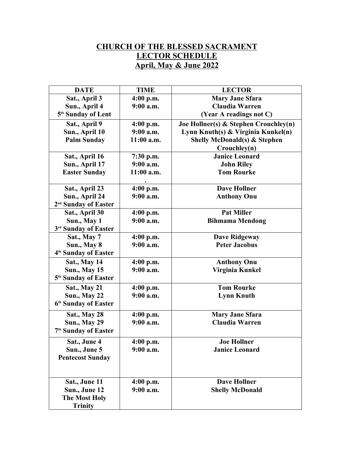## **CHURCH OF THE BLESSED SACRAMENT LECTOR SCHEDULE April, May & June 2022**

| <b>DATE</b>                      | <b>TIME</b>              | <b>LECTOR</b>                           |
|----------------------------------|--------------------------|-----------------------------------------|
| Sat., April 3                    | 4:00 p.m.                | <b>Mary Jane Sfara</b>                  |
| Sun., April 4                    | 9:00 a.m.                | <b>Claudia Warren</b>                   |
| 5 <sup>th</sup> Sunday of Lent   |                          | (Year A readings not C)                 |
| Sat., April 9                    | $4:00$ p.m.              | Joe Hollner(s) & Stephen Crouchley(n)   |
| Sun., April 10                   | $9:00$ a.m.              | Lynn Knuth(s) & Virginia Kunkel(n)      |
| <b>Palm Sunday</b>               | $11:00$ a.m.             | <b>Shelly McDonald(s) &amp; Stephen</b> |
|                                  |                          | Crouchley(n)                            |
| Sat., April 16                   | 7:30 p.m.                | <b>Janice Leonard</b>                   |
| Sun., April 17                   | $9:00$ a.m.              | <b>John Riley</b>                       |
| <b>Easter Sunday</b>             | 11:00 a.m.               | <b>Tom Rourke</b>                       |
|                                  |                          |                                         |
| Sat., April 23                   | 4:00 p.m.                | <b>Dave Hollner</b>                     |
| Sun., April 24                   | 9:00 a.m.                | <b>Anthony Onu</b>                      |
| 2 <sup>nd</sup> Sunday of Easter |                          |                                         |
| Sat., April 30                   | $4:00$ p.m.              | <b>Pat Miller</b>                       |
| Sun., May 1                      | 9:00 a.m.                | <b>Bihmama Mendong</b>                  |
| 3 <sup>rd</sup> Sunday of Easter |                          |                                         |
| Sat., May 7                      | 4:00 p.m.                | <b>Dave Ridgeway</b>                    |
| Sun., May 8                      | 9:00 a.m.                | <b>Peter Jacobus</b>                    |
| 4 <sup>th</sup> Sunday of Easter |                          |                                         |
| <b>Sat., May 14</b>              | $4:00$ p.m.              | <b>Anthony Onu</b>                      |
| <b>Sun., May 15</b>              | $9:00$ a.m.              | Virginia Kunkel                         |
| 5 <sup>th</sup> Sunday of Easter |                          |                                         |
| <b>Sat., May 21</b>              | $4:00$ p.m.              | <b>Tom Rourke</b>                       |
| <b>Sun., May 22</b>              | $9:00$ a.m.              | <b>Lynn Knuth</b>                       |
| 6 <sup>th</sup> Sunday of Easter |                          |                                         |
| Sat., May 28                     | $4:00$ p.m.              | <b>Mary Jane Sfara</b>                  |
| <b>Sun., May 29</b>              | $9:00$ a.m.              | <b>Claudia Warren</b>                   |
| 7 <sup>th</sup> Sunday of Easter |                          |                                         |
| Sat., June 4                     | 4:00 p.m.                | <b>Joe Hollner</b>                      |
| Sun., June 5                     | 9:00 a.m.                | <b>Janice Leonard</b>                   |
| <b>Pentecost Sunday</b>          |                          |                                         |
|                                  |                          |                                         |
|                                  |                          | <b>Dave Hollner</b>                     |
| Sat., June 11<br>Sun., June 12   | $4:00$ p.m.<br>9:00 a.m. | <b>Shelly McDonald</b>                  |
| <b>The Most Holy</b>             |                          |                                         |
| <b>Trinity</b>                   |                          |                                         |
|                                  |                          |                                         |